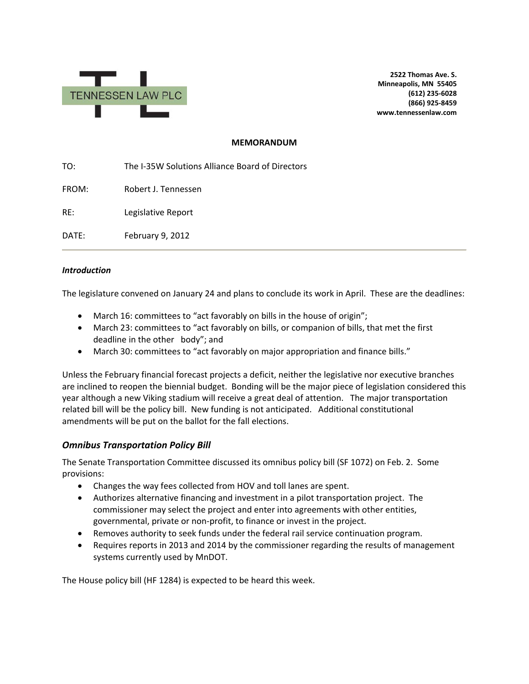

**2522 Thomas Ave. S. Minneapolis, MN 55405 (612) 235-6028 (866) 925-8459 www.tennessenlaw.com**

## **MEMORANDUM**

TO: The I-35W Solutions Alliance Board of Directors FROM: Robert J. Tennessen RE: Legislative Report DATE: February 9, 2012

## *Introduction*

The legislature convened on January 24 and plans to conclude its work in April. These are the deadlines:

- March 16: committees to "act favorably on bills in the house of origin";
- March 23: committees to "act favorably on bills, or companion of bills, that met the first deadline in the other body"; and
- March 30: committees to "act favorably on major appropriation and finance bills."

Unless the February financial forecast projects a deficit, neither the legislative nor executive branches are inclined to reopen the biennial budget. Bonding will be the major piece of legislation considered this year although a new Viking stadium will receive a great deal of attention. The major transportation related bill will be the policy bill. New funding is not anticipated. Additional constitutional amendments will be put on the ballot for the fall elections.

## *Omnibus Transportation Policy Bill*

The Senate Transportation Committee discussed its omnibus policy bill (SF 1072) on Feb. 2. Some provisions:

- Changes the way fees collected from HOV and toll lanes are spent.
- Authorizes alternative financing and investment in a pilot transportation project. The commissioner may select the project and enter into agreements with other entities, governmental, private or non-profit, to finance or invest in the project.
- Removes authority to seek funds under the federal rail service continuation program.
- Requires reports in 2013 and 2014 by the commissioner regarding the results of management systems currently used by MnDOT.

The House policy bill (HF 1284) is expected to be heard this week.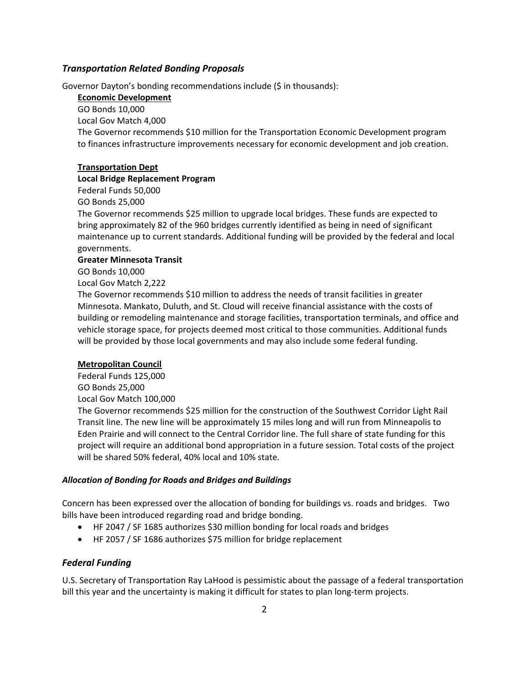## *Transportation Related Bonding Proposals*

Governor Dayton's bonding recommendations include (\$ in thousands):

**Economic Development**

GO Bonds 10,000 Local Gov Match 4,000 The Governor recommends \$10 million for the Transportation Economic Development program to finances infrastructure improvements necessary for economic development and job creation.

## **Transportation Dept**

#### **Local Bridge Replacement Program**

Federal Funds 50,000

GO Bonds 25,000

The Governor recommends \$25 million to upgrade local bridges. These funds are expected to bring approximately 82 of the 960 bridges currently identified as being in need of significant maintenance up to current standards. Additional funding will be provided by the federal and local governments.

#### **Greater Minnesota Transit**

GO Bonds 10,000

Local Gov Match 2,222

The Governor recommends \$10 million to address the needs of transit facilities in greater Minnesota. Mankato, Duluth, and St. Cloud will receive financial assistance with the costs of building or remodeling maintenance and storage facilities, transportation terminals, and office and vehicle storage space, for projects deemed most critical to those communities. Additional funds will be provided by those local governments and may also include some federal funding.

### **Metropolitan Council**

Federal Funds 125,000 GO Bonds 25,000 Local Gov Match 100,000 The Governor recommends \$25 million for the construction of the Southwest Corridor Light Rail Transit line. The new line will be approximately 15 miles long and will run from Minneapolis to Eden Prairie and will connect to the Central Corridor line. The full share of state funding for this project will require an additional bond appropriation in a future session. Total costs of the project will be shared 50% federal, 40% local and 10% state.

## *Allocation of Bonding for Roads and Bridges and Buildings*

Concern has been expressed over the allocation of bonding for buildings vs. roads and bridges. Two bills have been introduced regarding road and bridge bonding.

- HF 2047 / SF 1685 authorizes \$30 million bonding for local roads and bridges
- HF 2057 / SF 1686 authorizes \$75 million for bridge replacement

## *Federal Funding*

U.S. Secretary of Transportation Ray LaHood is pessimistic about the passage of a federal transportation bill this year and the uncertainty is making it difficult for states to plan long-term projects.